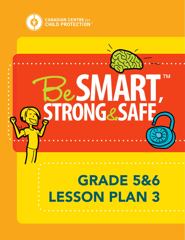

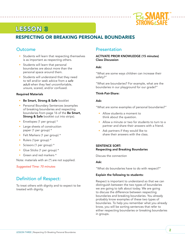

# LESSON 3

# RESPECTING OR BREAKING PERSONAL BOUNDARIES

## **Outcome**

- Students will learn that respecting themselves is as important as respecting others.
- Students will learn that personal boundaries are about more than the personal space around them.
- Students will understand that they need to tell and/or seek advice from a *safe adult* when they feel uncomfortable, unsure, scared, and/or confused.

#### Required Materials

- Be Smart, Strong & Safe booklet
- Personal Boundary Sentences (examples of breaking boundaries and respecting boundaries from page 16 of the Be Smart, **Strong & Safe** booklet cut into strips).
- Envelopes (1 per group) \*
- Large sheets of construction paper (1 per group) \*
- Felt Markers (1 per group) \*
- Rulers (1per group) \*
- Scissors (1 per group) \*
- Glue Sticks (1 per group) \*
- Green and red markers \*

Note: materials with an (\*) are not supplied.

*Suggested Time: 70 minutes* 

# Definition of Respect:

To treat others with dignity and to expect to be treated with dignity.

### **Presentation**

#### ACTIVATE PRIOR KNOWLEDGE (15 minutes) Class Discussion

#### Ask:

"What are some ways children can increase their safety?"

"What are boundaries? For example, what are the boundaries in our playground for our grade?"

#### Think-Pair-Share:

#### Ask:

"What are some examples of personal boundaries?"

- Allow students a moment to think about the question.
- Allow a minute or two for students to turn to a partner and share their answers with a friend.
- Ask partners if they would like to share their answers with the class.

#### SENTENCE SORT: Respecting and Breaking Boundaries

Discuss the connection

#### Ask:

"What do boundaries have to do with respect?"

#### Explain the following to students:

Respect is important to understand so that we can distinguish between the two types of boundaries we are going to talk about today. We are going to discuss the difference between respecting boundaries and breaking boundaries. You already probably know examples of these two types of boundaries. To help you remember what you already know, you will be sorting sentences that refer to either respecting boundaries or breaking boundaries in groups.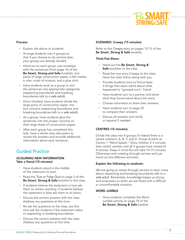

#### Process:

- Explain the above to students.
- Arrange students into 4 groups so that if you choose to do centres later, your groups are already divided.
- Hand out to each group: one envelope with the sentences (from page 16 of the Be Smart, Strong and Safe booklet), one piece of large construction paper, a felt marker, a ruler, a pair of scissors, and a glue stick.

<u>. . . . . . . . . . . . . .</u>

- Have students work as a group to sort the sentences into appropriate categories (respecting boundaries and breaking boundaries-talk to a *safe adult*).
- Once checked, have students divide the large piece of construction paper into two columns (respecting boundaries and breaking boundaries-talk to a *safe adult*).
- As a group, have students glue the sentences into the proper columns on their large sheet of construction paper.
- After each group has completed this task, have a whole class discussion to review the answers and provide additional information about each sentence.

# Guided Practice

#### ACQUIRING NEW INFORMATION Take a Stand (10 minutes)

- Have students stand in the middle of the classroom to start.
- Read the *True or False Quiz* on page 2 of the Be Smart, Strong & Safe booklet to the class.
- If students believe the statement is true ask them to remain standing. If students believe the statement is false ask them to sit down.
- Discuss the correct answers with the class. Address any questions at this time.
- Re-ask the questions to the class, but this time ask the students if the statement refers to respecting or breaking boundaries.
- Discuss the correct answers with the class. Address any questions at this time.

#### SCENARIO: Creepy (15 minutes)

Refer to the *Creepy* story on pages 12-13 of the Be Smart, Strong & Safe booklet.

#### Think-Pair-Share:

- Hand out the Be Smart, Strong & Safe booklets to the class.
- Read the true story Creepy to the class. Have the class follow along with you.
- Provide students time to find at least 3 things that seem weird about what happened to "grossed out's" friend.
- Have students turn to a partner and share what they found weird about the story.
- Choose volunteers to share their answers.
- Have students turn to page 20 to compare their answers.
- Discuss all answers and clarify or expand if needed.

#### CENTRES (15 minutes)

Divide the class into 4 groups (if indeed there is a centre rotation): A, B, C and D. Group A starts at Centre 1 "Word Splash." (Give children 2-3 minutes then switch centres until all 4 groups have visited all 4 centres. Keep in mind this will take 10-15 minutes. Otherwise omit rotating through centres and just hand out the different activities.

#### Explain the following to students:

We are going to rotate through centres to learn more about respecting and breaking boundaries-talk to a *safe adult*. Remember, knowledge keeps us strong and empowers us when we are faced with a difficult or uncomfortable situation.

#### WORD JUMBLE

• Have students complete the Word Jumble activity on page 19 of the Be Smart, Strong & Safe booklet.